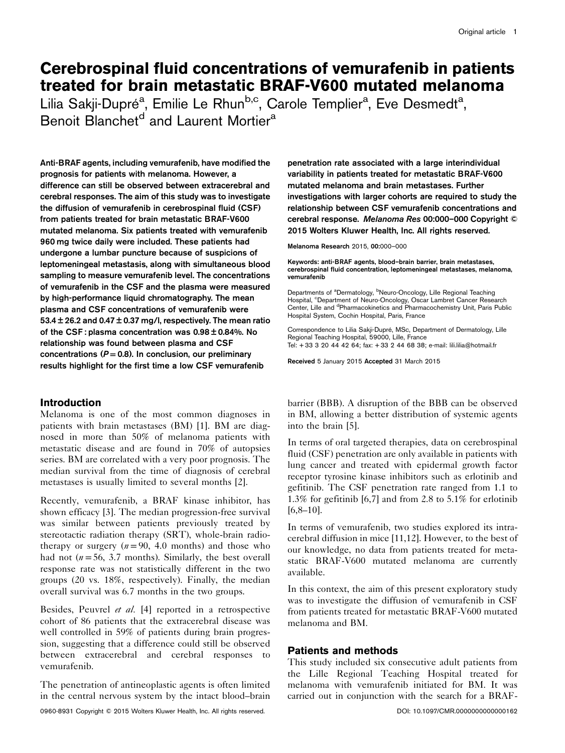# Cerebrospinal fluid concentrations of vemurafenib in patients treated for brain metastatic BRAF-V600 mutated melanoma

Lilia Sakji-Dupré<sup>a</sup>, Emilie Le Rhun<sup>b,c</sup>, Carole Templier<sup>a</sup>, Eve Desmedt<sup>a</sup>, Benoit Blanchet<sup>d</sup> and Laurent Mortier<sup>a</sup>

Anti-BRAF agents, including vemurafenib, have modified the prognosis for patients with melanoma. However, a difference can still be observed between extracerebral and cerebral responses. The aim of this study was to investigate the diffusion of vemurafenib in cerebrospinal fluid (CSF) from patients treated for brain metastatic BRAF-V600 mutated melanoma. Six patients treated with vemurafenib 960 mg twice daily were included. These patients had undergone a lumbar puncture because of suspicions of leptomeningeal metastasis, along with simultaneous blood sampling to measure vemurafenib level. The concentrations of vemurafenib in the CSF and the plasma were measured by high-performance liquid chromatography. The mean plasma and CSF concentrations of vemurafenib were 53.4  $\pm$  26.2 and 0.47  $\pm$  0.37 mg/l, respectively. The mean ratio of the CSF : plasma concentration was 0.98 ± 0.84%. No relationship was found between plasma and CSF concentrations ( $P = 0.8$ ). In conclusion, our preliminary results highlight for the first time a low CSF vemurafenib

# Introduction

Melanoma is one of the most common diagnoses in patients with brain metastases (BM) [\[1\]](#page-3-0). BM are diagnosed in more than 50% of melanoma patients with metastatic disease and are found in 70% of autopsies series. BM are correlated with a very poor prognosis. The median survival from the time of diagnosis of cerebral metastases is usually limited to several months [\[2](#page-3-0)].

Recently, vemurafenib, a BRAF kinase inhibitor, has shown efficacy [\[3\]](#page-3-0). The median progression-free survival was similar between patients previously treated by stereotactic radiation therapy (SRT), whole-brain radiotherapy or surgery  $(n=90, 4.0 \text{ months})$  and those who had not ( $n = 56$ , 3.7 months). Similarly, the best overall response rate was not statistically different in the two groups (20 vs. 18%, respectively). Finally, the median overall survival was 6.7 months in the two groups.

Besides, Peuvrel et al. [\[4](#page-3-0)] reported in a retrospective cohort of 86 patients that the extracerebral disease was well controlled in 59% of patients during brain progression, suggesting that a difference could still be observed between extracerebral and cerebral responses to vemurafenib.

The penetration of antineoplastic agents is often limited in the central nervous system by the intact blood–brain penetration rate associated with a large interindividual variability in patients treated for metastatic BRAF-V600 mutated melanoma and brain metastases. Further investigations with larger cohorts are required to study the relationship between CSF vemurafenib concentrations and cerebral response. Melanoma Res 00:000–000 Copyright © 2015 Wolters Kluwer Health, Inc. All rights reserved.

Melanoma Research 2015, 00:000–000

Keywords: anti-BRAF agents, blood–brain barrier, brain metastases, cerebrospinal fluid concentration, leptomeningeal metastases, melanoma, vemurafenib

Departments of <sup>a</sup>Dermatology, <sup>b</sup>Neuro-Oncology, Lille Regional Teaching Hospital, <sup>c</sup>Department of Neuro-Oncology, Oscar Lambret Cancer Research Center, Lille and <sup>d</sup>Pharmacokinetics and Pharmacochemistry Unit, Paris Public Hospital System, Cochin Hospital, Paris, France

Correspondence to Lilia Sakji-Dupré, MSc, Department of Dermatology, Lille Regional Teaching Hospital, 59000, Lille, France Tel: + 33 3 20 44 42 64; fax: + 33 2 44 68 38; e-mail: [lili.lilia@hotmail.fr](mailto:lili.lilia@hotmail.fr)

Received 5 January 2015 Accepted 31 March 2015

barrier (BBB). A disruption of the BBB can be observed in BM, allowing a better distribution of systemic agents into the brain [\[5](#page-3-0)].

In terms of oral targeted therapies, data on cerebrospinal fluid (CSF) penetration are only available in patients with lung cancer and treated with epidermal growth factor receptor tyrosine kinase inhibitors such as erlotinib and gefitinib. The CSF penetration rate ranged from 1.1 to 1.3% for gefitinib [\[6,7\]](#page-3-0) and from 2.8 to 5.1% for erlotinib [\[6](#page-3-0),[8](#page-3-0)–[10\]](#page-3-0).

In terms of vemurafenib, two studies explored its intracerebral diffusion in mice [\[11,12](#page-3-0)]. However, to the best of our knowledge, no data from patients treated for metastatic BRAF-V600 mutated melanoma are currently available.

In this context, the aim of this present exploratory study was to investigate the diffusion of vemurafenib in CSF from patients treated for metastatic BRAF-V600 mutated melanoma and BM.

# Patients and methods

This study included six consecutive adult patients from the Lille Regional Teaching Hospital treated for melanoma with vemurafenib initiated for BM. It was carried out in conjunction with the search for a BRAF-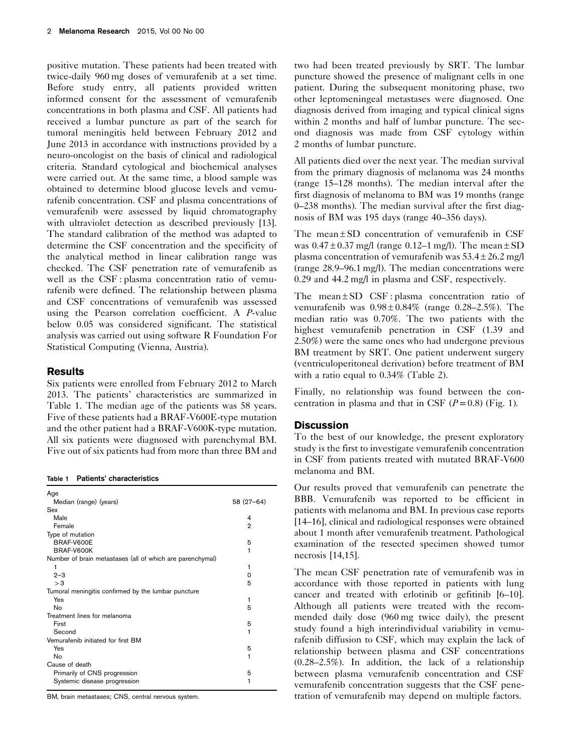positive mutation. These patients had been treated with twice-daily 960 mg doses of vemurafenib at a set time. Before study entry, all patients provided written informed consent for the assessment of vemurafenib concentrations in both plasma and CSF. All patients had received a lumbar puncture as part of the search for tumoral meningitis held between February 2012 and June 2013 in accordance with instructions provided by a neuro-oncologist on the basis of clinical and radiological criteria. Standard cytological and biochemical analyses were carried out. At the same time, a blood sample was obtained to determine blood glucose levels and vemurafenib concentration. CSF and plasma concentrations of vemurafenib were assessed by liquid chromatography with ultraviolet detection as described previously [\[13](#page-3-0)]. The standard calibration of the method was adapted to determine the CSF concentration and the specificity of the analytical method in linear calibration range was checked. The CSF penetration rate of vemurafenib as well as the CSF : plasma concentration ratio of vemurafenib were defined. The relationship between plasma and CSF concentrations of vemurafenib was assessed using the Pearson correlation coefficient. A P-value below 0.05 was considered significant. The statistical analysis was carried out using software R Foundation For Statistical Computing (Vienna, Austria).

# **Results**

Six patients were enrolled from February 2012 to March 2013. The patients' characteristics are summarized in Table 1. The median age of the patients was 58 years. Five of these patients had a BRAF-V600E-type mutation and the other patient had a BRAF-V600K-type mutation. All six patients were diagnosed with parenchymal BM. Five out of six patients had from more than three BM and

Table 1 Patients' characteristics

| Age                                                       |              |
|-----------------------------------------------------------|--------------|
| Median (range) (years)                                    | 58 (27-64)   |
| Sex                                                       |              |
| Male                                                      | 4            |
| Female                                                    | $\mathbf{2}$ |
| Type of mutation                                          |              |
| BRAF-V600E                                                | 5            |
| BRAF-V600K                                                | 1            |
| Number of brain metastases (all of which are parenchymal) |              |
| 1                                                         | 1            |
| $2 - 3$                                                   | 0            |
| > 3                                                       | 5            |
| Tumoral meningitis confirmed by the lumbar puncture       |              |
| Yes                                                       | 1            |
| No                                                        | 5            |
| Treatment lines for melanoma                              |              |
| First                                                     | 5            |
| Second                                                    | 1            |
| Vemurafenib initiated for first BM                        |              |
| Yes                                                       | 5            |
| No                                                        | 1            |
| Cause of death                                            |              |
| Primarily of CNS progression                              | 5            |
| Systemic disease progression                              | 1            |

BM, brain metastases; CNS, central nervous system.

two had been treated previously by SRT. The lumbar puncture showed the presence of malignant cells in one patient. During the subsequent monitoring phase, two other leptomeningeal metastases were diagnosed. One diagnosis derived from imaging and typical clinical signs within 2 months and half of lumbar puncture. The second diagnosis was made from CSF cytology within 2 months of lumbar puncture.

All patients died over the next year. The median survival from the primary diagnosis of melanoma was 24 months (range 15–128 months). The median interval after the first diagnosis of melanoma to BM was 19 months (range 0–238 months). The median survival after the first diagnosis of BM was 195 days (range 40–356 days).

The mean $\pm$ SD concentration of vemurafenib in CSF was  $0.47 \pm 0.37$  mg/l (range  $0.12 - 1$  mg/l). The mean  $\pm$  SD plasma concentration of vemurafenib was 53.4 ± 26.2 mg/l (range 28.9–96.1 mg/l). The median concentrations were 0.29 and 44.2 mg/l in plasma and CSF, respectively.

The mean  $\pm$  SD CSF : plasma concentration ratio of vemurafenib was  $0.98 \pm 0.84\%$  (range 0.28–2.5%). The median ratio was 0.70%. The two patients with the highest vemurafenib penetration in CSF (1.39 and 2.50%) were the same ones who had undergone previous BM treatment by SRT. One patient underwent surgery (ventriculoperitoneal derivation) before treatment of BM with a ratio equal to 0.34% ([Table 2](#page-2-0)).

Finally, no relationship was found between the concentration in plasma and that in CSF  $(P= 0.8)$  [\(Fig. 1](#page-2-0)).

#### **Discussion**

To the best of our knowledge, the present exploratory study is the first to investigate vemurafenib concentration in CSF from patients treated with mutated BRAF-V600 melanoma and BM.

Our results proved that vemurafenib can penetrate the BBB. Vemurafenib was reported to be efficient in patients with melanoma and BM. In previous case reports [\[14](#page-3-0)–[16\]](#page-3-0), clinical and radiological responses were obtained about 1 month after vemurafenib treatment. Pathological examination of the resected specimen showed tumor necrosis [\[14,15](#page-3-0)].

The mean CSF penetration rate of vemurafenib was in accordance with those reported in patients with lung cancer and treated with erlotinib or gefitinib [\[6](#page-3-0)–[10](#page-3-0)]. Although all patients were treated with the recommended daily dose (960 mg twice daily), the present study found a high interindividual variability in vemurafenib diffusion to CSF, which may explain the lack of relationship between plasma and CSF concentrations (0.28–2.5%). In addition, the lack of a relationship between plasma vemurafenib concentration and CSF vemurafenib concentration suggests that the CSF penetration of vemurafenib may depend on multiple factors.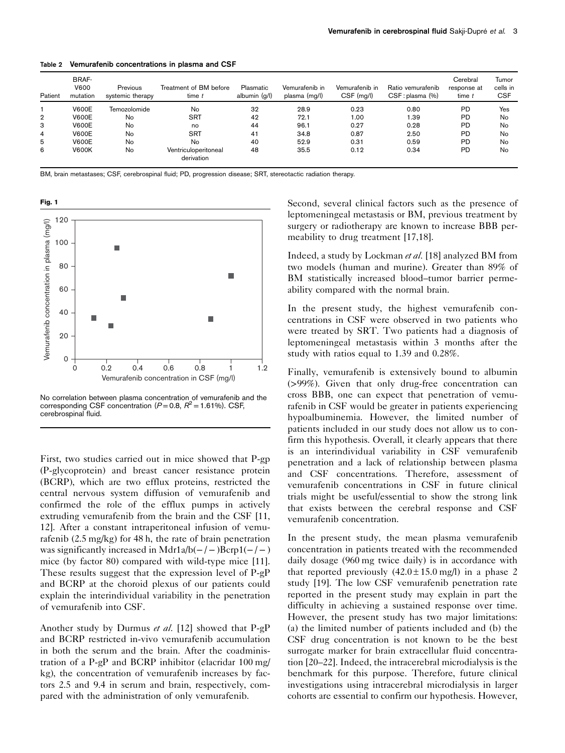| Patient        | BRAF-<br><b>V600</b><br>mutation | Previous<br>systemic therapy | Treatment of BM before<br>$time$ $t$ | Plasmatic<br>albumin (g/l) | Vemurafenib in<br>plasma (mg/l) | Vemurafenib in<br>CSF (mg/l) | Ratio vemurafenib<br>CSF: plasma (%) | Cerebral<br>response at<br>time t | Tumor<br>cells in<br><b>CSF</b> |
|----------------|----------------------------------|------------------------------|--------------------------------------|----------------------------|---------------------------------|------------------------------|--------------------------------------|-----------------------------------|---------------------------------|
|                | <b>V600E</b>                     | Temozolomide                 | No                                   | 32                         | 28.9                            | 0.23                         | 0.80                                 | <b>PD</b>                         | Yes                             |
| $\overline{2}$ | <b>V600E</b>                     | No                           | <b>SRT</b>                           | 42                         | 72.1                            | 1.00                         | 1.39                                 | <b>PD</b>                         | No                              |
| з              | <b>V600E</b>                     | No                           | no                                   | 44                         | 96.1                            | 0.27                         | 0.28                                 | <b>PD</b>                         | No                              |
| 4              | <b>V600E</b>                     | No                           | <b>SRT</b>                           | 41                         | 34.8                            | 0.87                         | 2.50                                 | <b>PD</b>                         | No                              |
| 5              | <b>V600E</b>                     | No                           | No                                   | 40                         | 52.9                            | 0.31                         | 0.59                                 | <b>PD</b>                         | No                              |
| 6              | <b>V600K</b>                     | No                           | Ventriculoperitoneal<br>derivation   | 48                         | 35.5                            | 0.12                         | 0.34                                 | <b>PD</b>                         | No                              |

<span id="page-2-0"></span>Table 2 Vemurafenib concentrations in plasma and CSF

BM, brain metastases; CSF, cerebrospinal fluid; PD, progression disease; SRT, stereotactic radiation therapy.



No correlation between plasma concentration of vemurafenib and the corresponding CSF concentration ( $P=0.8$ ,  $R^2=1.61\%$ ). CSF, cerebrospinal fluid.

First, two studies carried out in mice showed that P-gp (P-glycoprotein) and breast cancer resistance protein (BCRP), which are two efflux proteins, restricted the central nervous system diffusion of vemurafenib and confirmed the role of the efflux pumps in actively extruding vemurafenib from the brain and the CSF [\[11](#page-3-0), [12\]](#page-3-0). After a constant intraperitoneal infusion of vemurafenib (2.5 mg/kg) for 48 h, the rate of brain penetration was significantly increased in Mdr1a/b( $-/-$ )Bcrp1( $-/-$ ) mice (by factor 80) compared with wild-type mice [\[11](#page-3-0)]. These results suggest that the expression level of P-gP and BCRP at the choroid plexus of our patients could explain the interindividual variability in the penetration of vemurafenib into CSF.

Another study by Durmus et al. [\[12](#page-3-0)] showed that P-gP and BCRP restricted in-vivo vemurafenib accumulation in both the serum and the brain. After the coadministration of a P-gP and BCRP inhibitor (elacridar 100 mg/ kg), the concentration of vemurafenib increases by factors 2.5 and 9.4 in serum and brain, respectively, compared with the administration of only vemurafenib.

Second, several clinical factors such as the presence of leptomeningeal metastasis or BM, previous treatment by surgery or radiotherapy are known to increase BBB permeability to drug treatment [\[17,18](#page-3-0)].

Indeed, a study by Lockman et al. [\[18](#page-3-0)] analyzed BM from two models (human and murine). Greater than 89% of BM statistically increased blood–tumor barrier permeability compared with the normal brain.

In the present study, the highest vemurafenib concentrations in CSF were observed in two patients who were treated by SRT. Two patients had a diagnosis of leptomeningeal metastasis within 3 months after the study with ratios equal to 1.39 and 0.28%.

Finally, vemurafenib is extensively bound to albumin (>99%). Given that only drug-free concentration can cross BBB, one can expect that penetration of vemurafenib in CSF would be greater in patients experiencing hypoalbuminemia. However, the limited number of patients included in our study does not allow us to confirm this hypothesis. Overall, it clearly appears that there is an interindividual variability in CSF vemurafenib penetration and a lack of relationship between plasma and CSF concentrations. Therefore, assessment of vemurafenib concentrations in CSF in future clinical trials might be useful/essential to show the strong link that exists between the cerebral response and CSF vemurafenib concentration.

In the present study, the mean plasma vemurafenib concentration in patients treated with the recommended daily dosage (960 mg twice daily) is in accordance with that reported previously  $(42.0 \pm 15.0 \,\text{mg/l})$  in a phase 2 study [\[19](#page-3-0)]. The low CSF vemurafenib penetration rate reported in the present study may explain in part the difficulty in achieving a sustained response over time. However, the present study has two major limitations: (a) the limited number of patients included and (b) the CSF drug concentration is not known to be the best surrogate marker for brain extracellular fluid concentration [\[20](#page-3-0)–[22\]](#page-3-0). Indeed, the intracerebral microdialysis is the benchmark for this purpose. Therefore, future clinical investigations using intracerebral microdialysis in larger cohorts are essential to confirm our hypothesis. However,